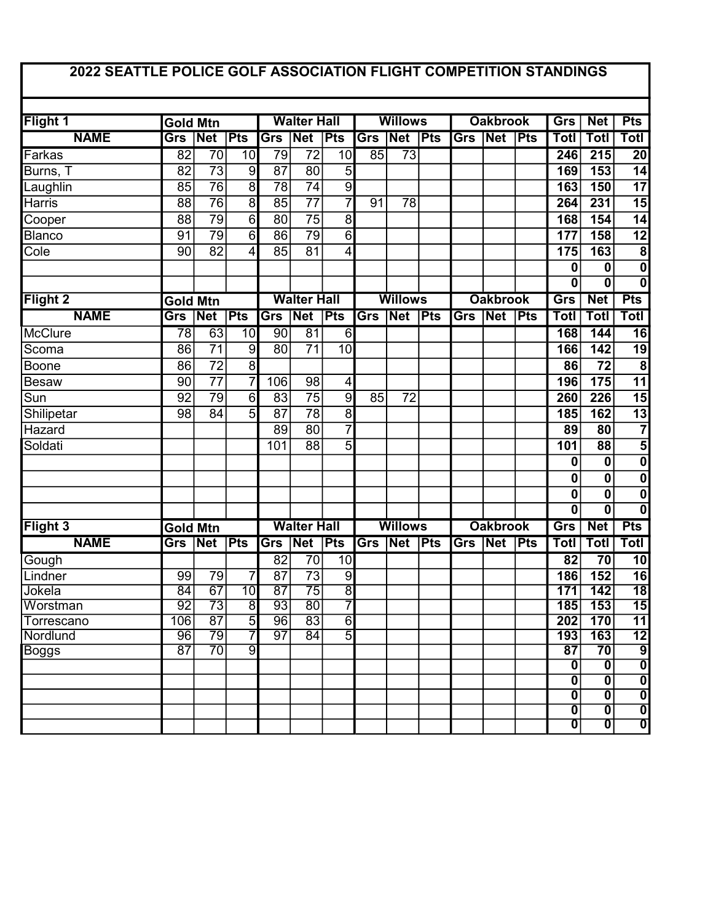## 2022 SEATTLE POLICE GOLF ASSOCIATION FLIGHT COMPETITION STANDINGS

|                         |                 |                           |                 |                    |                           |                 |                |                           |                 | Grs             |                           |               |                                                    |                              |                                                      |  |
|-------------------------|-----------------|---------------------------|-----------------|--------------------|---------------------------|-----------------|----------------|---------------------------|-----------------|-----------------|---------------------------|---------------|----------------------------------------------------|------------------------------|------------------------------------------------------|--|
| Flight 1                |                 | <b>Gold Mtn</b>           |                 |                    | <b>Walter Hall</b>        |                 |                | <b>Willows</b>            |                 |                 | <b>Oakbrook</b>           |               |                                                    | <b>Net</b>                   | <b>Pts</b>                                           |  |
| <b>NAME</b>             | Grs             | Net                       | <b>Pts</b>      | Grs                | Net                       | $\varepsilon$   | Grs            | Net                       | $\varepsilon$   | <b>Grs</b>      | $\overline{\mathsf{Net}}$ | <b>Pts</b>    | Totl                                               | Totl                         | Totl                                                 |  |
| Farkas                  | $\overline{82}$ | $\overline{70}$           | 10              | 79                 | $\overline{72}$           | $\overline{10}$ | 85             | $\overline{73}$           |                 |                 |                           |               | 246                                                | $\overline{215}$             | $\overline{20}$                                      |  |
| Burns, T                | 82              | $\overline{73}$           | $\overline{9}$  | $\overline{87}$    | $\overline{80}$           | 5               |                |                           |                 |                 |                           |               | 169                                                | 153                          | $\overline{14}$                                      |  |
| Laughlin                | 85              | $\overline{76}$           | $\overline{8}$  | 78                 | $\overline{74}$           | $\overline{9}$  |                |                           |                 |                 |                           |               | 163                                                | 150                          | $\overline{17}$                                      |  |
| Harris                  | 88              | $\overline{76}$           | $\overline{8}$  | 85                 | $\overline{77}$           | 7               | 91             | 78                        |                 |                 |                           |               | 264                                                | 231                          | $\overline{15}$                                      |  |
| Cooper                  | 88              | 79                        | $\overline{6}$  | 80                 | $\overline{75}$           | 8               |                |                           |                 |                 |                           |               | 168                                                | 154                          | $\overline{14}$                                      |  |
| <b>Blanco</b>           | 91              | 79                        | $\overline{6}$  | 86                 | $\overline{79}$           | $\overline{6}$  |                |                           |                 |                 |                           |               | 177                                                | 158                          | $\overline{12}$                                      |  |
| Cole                    | 90              | $\overline{82}$           | 4               | 85                 | 81                        | 4               |                |                           |                 |                 |                           |               | 175                                                | 163                          | $\overline{\mathbf{8}}$                              |  |
|                         |                 |                           |                 |                    |                           |                 |                |                           |                 |                 |                           |               | 0                                                  | 0                            | $\boldsymbol{0}$                                     |  |
|                         |                 |                           |                 |                    |                           |                 |                |                           |                 |                 |                           |               | 0                                                  | 0                            | $\overline{\mathbf{0}}$                              |  |
| Flight 2                | <b>Gold Mtn</b> |                           |                 | <b>Walter Hall</b> |                           |                 | <b>Willows</b> |                           |                 | <b>Oakbrook</b> |                           |               | Grs                                                | <b>Net</b>                   | <b>Pts</b>                                           |  |
| <b>NAME</b>             | Grs             | Net                       | Pts             | Grs                | Net                       | Pts             | Grs            | $\overline{\mathsf{Net}}$ | Pts             | Grs             | $\overline{\mathsf{Net}}$ | $\varepsilon$ | <b>Totl</b>                                        | <b>Totl</b>                  | <b>Totl</b>                                          |  |
| McClure                 | 78              | 63                        | $\overline{10}$ | 90                 | $\overline{81}$           | $\overline{6}$  |                |                           |                 |                 |                           |               | 168                                                | 144                          | 16                                                   |  |
| Scoma                   | 86              | $\overline{71}$           | 9               | 80                 | $\overline{71}$           | 10              |                |                           |                 |                 |                           |               | 166                                                | 142                          | $\overline{19}$                                      |  |
| Boone                   | 86              | $\overline{72}$           | $\overline{8}$  |                    |                           |                 |                |                           |                 |                 |                           |               | 86                                                 | 72                           | 8                                                    |  |
| <b>Besaw</b>            | 90              | $\overline{77}$           | $\overline{7}$  | 106                | 98                        | 4               |                |                           |                 |                 |                           |               | 196                                                | 175                          | $\overline{11}$                                      |  |
| $\overline{\text{Sun}}$ | 92              | 79                        | $\overline{6}$  | 83                 | $\overline{75}$           | $\overline{9}$  | 85             | $\overline{72}$           |                 |                 |                           |               | 260                                                | 226                          | $\overline{15}$                                      |  |
| Shilipetar              | 98              | 84                        | 5               | 87                 | $\overline{78}$           | $\overline{8}$  |                |                           |                 |                 |                           |               | 185                                                | 162                          | $\overline{13}$                                      |  |
| Hazard                  |                 |                           |                 | 89                 | $\overline{80}$           | 7               |                |                           |                 |                 |                           |               | 89                                                 | 80                           | $\overline{7}$                                       |  |
| Soldati                 |                 |                           |                 | 101                | 88                        | 5               |                |                           |                 |                 |                           |               | 101                                                | $\overline{88}$              | 5                                                    |  |
|                         |                 |                           |                 |                    |                           |                 |                |                           |                 |                 |                           |               | 0                                                  | 0                            | $\bf{0}$                                             |  |
|                         |                 |                           |                 |                    |                           |                 |                |                           |                 |                 |                           |               | 0                                                  | 0                            | $\overline{\mathbf{0}}$                              |  |
|                         |                 |                           |                 |                    |                           |                 |                |                           |                 |                 |                           |               | 0                                                  | 0                            | $\boldsymbol{0}$                                     |  |
|                         |                 |                           |                 |                    |                           |                 |                |                           |                 |                 |                           |               | 0                                                  | 0                            | 0                                                    |  |
| Flight <sub>3</sub>     | <b>Gold Mtn</b> |                           |                 | <b>Walter Hall</b> |                           |                 | <b>Willows</b> |                           | <b>Oakbrook</b> |                 |                           | Grs           | <b>Net</b>                                         | <b>Pts</b>                   |                                                      |  |
| <b>NAME</b>             | Grs             | $\overline{\mathsf{Net}}$ | <b>Pts</b>      | Grs                | $\overline{\mathsf{Net}}$ | $\varepsilon$   | Grs            | Net Pts                   |                 | <b>Grs</b>      | $\overline{\mathsf{Net}}$ | <b>Pts</b>    | Totl                                               | Totl                         | <b>Totl</b>                                          |  |
| Gough                   |                 |                           |                 | 82                 | $\overline{70}$           | $\overline{10}$ |                |                           |                 |                 |                           |               | 82                                                 | 70                           | 10                                                   |  |
| Lindner                 | 99              | 79                        | 7               | 87                 | $\overline{73}$           | 9               |                |                           |                 |                 |                           |               | 186                                                | 152                          | 16                                                   |  |
| Jokela                  | $\overline{84}$ | $\overline{67}$           | $\overline{10}$ | $\overline{87}$    | $\overline{75}$           | $\overline{8}$  |                |                           |                 |                 |                           |               | 171                                                | $\overline{142}$             | $\overline{18}$                                      |  |
| Worstman                | $\overline{92}$ | $\overline{73}$           | $\overline{8}$  | 93                 | $\overline{80}$           | 7               |                |                           |                 |                 |                           |               | 185                                                | 153                          | $\overline{15}$                                      |  |
| Torrescano              | 106             | $\overline{87}$           | $\overline{5}$  | $\overline{96}$    | $\overline{83}$           | $\overline{6}$  |                |                           |                 |                 |                           |               | 202                                                | 170                          | $\overline{11}$                                      |  |
| Nordlund                | 96              | $\overline{79}$           | 7               | $\overline{97}$    | $\overline{84}$           | $\overline{5}$  |                |                           |                 |                 |                           |               | 193                                                | 163                          | $\overline{12}$                                      |  |
| <b>Boggs</b>            | $\overline{87}$ | $\overline{70}$           | ॺ               |                    |                           |                 |                |                           |                 |                 |                           |               | $\overline{87}$                                    | $\overline{70}$              | $\overline{9}$                                       |  |
|                         |                 |                           |                 |                    |                           |                 |                |                           |                 |                 |                           |               | $\overline{\mathbf{0}}$                            | $\overline{\mathbf{0}}$      | $\overline{\mathbf{0}}$                              |  |
|                         |                 |                           |                 |                    |                           |                 |                |                           |                 |                 |                           |               | $\overline{\textbf{0}}$                            | $\overline{\mathbf{0}}$      | $\overline{\mathbf{0}}$                              |  |
|                         |                 |                           |                 |                    |                           |                 |                |                           |                 |                 |                           |               | $\overline{\mathbf{0}}$<br>$\overline{\textbf{0}}$ | Ō<br>$\overline{\textbf{0}}$ | $\overline{\mathfrak{o}}$<br>$\overline{\mathbf{0}}$ |  |
|                         |                 |                           |                 |                    |                           |                 |                |                           |                 |                 |                           |               | $\overline{\mathbf{0}}$                            | $\overline{\mathbf{0}}$      | $\overline{\mathbf{0}}$                              |  |
|                         |                 |                           |                 |                    |                           |                 |                |                           |                 |                 |                           |               |                                                    |                              |                                                      |  |